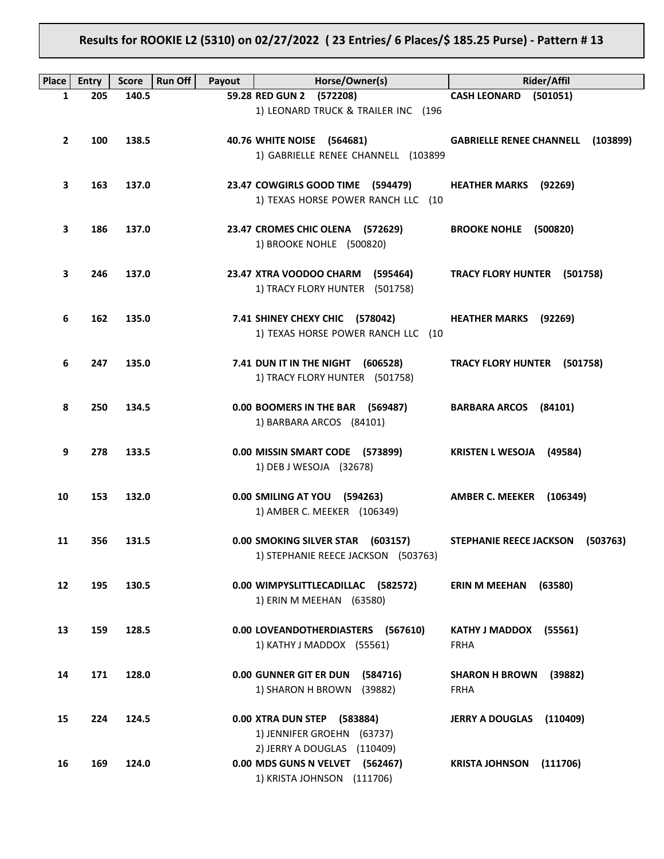# **Results for ROOKIE L2 (5310) on 02/27/2022 ( 23 Entries/ 6 Places/\$ 185.25 Purse) - Pattern # 13**

| <b>Place</b>      | <b>Entry</b> | <b>Score</b> | <b>Run Off</b><br>Payout | Horse/Owner(s)                                                                               | <b>Rider/Affil</b>                              |
|-------------------|--------------|--------------|--------------------------|----------------------------------------------------------------------------------------------|-------------------------------------------------|
| $\mathbf{1}$      | 205          | 140.5        |                          | 59.28 RED GUN 2 (572208)                                                                     | <b>CASH LEONARD</b><br>(501051)                 |
|                   |              |              |                          | 1) LEONARD TRUCK & TRAILER INC (196                                                          |                                                 |
| $\mathbf{2}$      | 100          | 138.5        |                          | 40.76 WHITE NOISE (564681)<br>1) GABRIELLE RENEE CHANNELL (103899                            | <b>GABRIELLE RENEE CHANNELL (103899)</b>        |
| 3                 | 163          | 137.0        |                          | 23.47 COWGIRLS GOOD TIME (594479)<br>1) TEXAS HORSE POWER RANCH LLC (10                      | <b>HEATHER MARKS</b> (92269)                    |
| 3                 | 186          | 137.0        |                          | 23.47 CROMES CHIC OLENA (572629)<br>1) BROOKE NOHLE (500820)                                 | <b>BROOKE NOHLE (500820)</b>                    |
| 3                 | 246          | 137.0        |                          | 23.47 XTRA VOODOO CHARM (595464)<br>1) TRACY FLORY HUNTER (501758)                           | TRACY FLORY HUNTER (501758)                     |
| 6                 | 162          | 135.0        |                          | 7.41 SHINEY CHEXY CHIC (578042)<br>1) TEXAS HORSE POWER RANCH LLC (10                        | <b>HEATHER MARKS</b> (92269)                    |
| 6                 | 247          | 135.0        |                          | 7.41 DUN IT IN THE NIGHT (606528)<br>1) TRACY FLORY HUNTER (501758)                          | TRACY FLORY HUNTER (501758)                     |
| 8                 | 250          | 134.5        |                          | 0.00 BOOMERS IN THE BAR (569487)<br>1) BARBARA ARCOS (84101)                                 | BARBARA ARCOS (84101)                           |
| 9                 | 278          | 133.5        |                          | 0.00 MISSIN SMART CODE (573899)<br>1) DEB J WESOJA (32678)                                   | <b>KRISTEN L WESOJA (49584)</b>                 |
| 10                | 153          | 132.0        |                          | 0.00 SMILING AT YOU (594263)<br>1) AMBER C. MEEKER (106349)                                  | AMBER C. MEEKER (106349)                        |
| 11                | 356          | 131.5        |                          | 0.00 SMOKING SILVER STAR (603157)<br>1) STEPHANIE REECE JACKSON (503763)                     | STEPHANIE REECE JACKSON (503763)                |
| $12 \overline{ }$ | 195          | 130.5        |                          | 0.00 WIMPYSLITTLECADILLAC (582572)<br>1) ERIN M MEEHAN (63580)                               | <b>ERIN M MEEHAN</b><br>(63580)                 |
| 13                | 159          | 128.5        |                          | 0.00 LOVEANDOTHERDIASTERS (567610)<br>1) KATHY J MADDOX (55561)                              | KATHY J MADDOX (55561)<br><b>FRHA</b>           |
| 14                | 171          | 128.0        |                          | 0.00 GUNNER GIT ER DUN<br>(584716)<br>1) SHARON H BROWN (39882)                              | <b>SHARON H BROWN</b><br>(39882)<br><b>FRHA</b> |
| 15                | 224          | 124.5        |                          | 0.00 XTRA DUN STEP (583884)<br>1) JENNIFER GROEHN (63737)                                    | <b>JERRY A DOUGLAS</b><br>(110409)              |
| 16                | 169          | 124.0        |                          | 2) JERRY A DOUGLAS (110409)<br>0.00 MDS GUNS N VELVET (562467)<br>1) KRISTA JOHNSON (111706) | <b>KRISTA JOHNSON</b><br>(111706)               |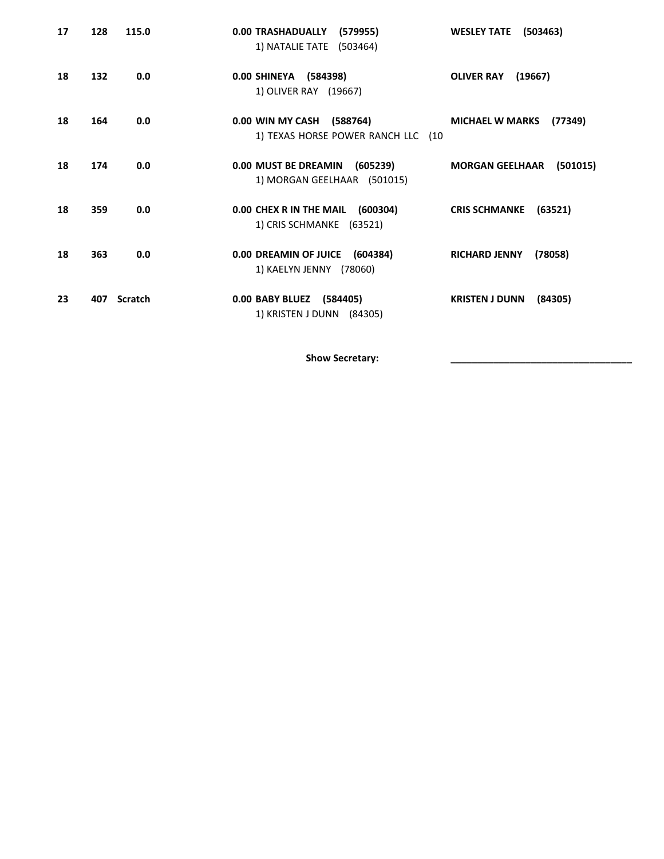| 17 | 128 | 115.0   | 0.00 TRASHADUALLY (579955)<br>1) NATALIE TATE (503464)          | (503463)<br><b>WESLEY TATE</b>     |
|----|-----|---------|-----------------------------------------------------------------|------------------------------------|
| 18 | 132 | 0.0     | 0.00 SHINEYA (584398)<br>1) OLIVER RAY (19667)                  | (19667)<br><b>OLIVER RAY</b>       |
| 18 | 164 | 0.0     | 0.00 WIN MY CASH (588764)<br>1) TEXAS HORSE POWER RANCH LLC (10 | (77349)<br><b>MICHAEL W MARKS</b>  |
| 18 | 174 | 0.0     | 0.00 MUST BE DREAMIN (605239)<br>1) MORGAN GEELHAAR (501015)    | <b>MORGAN GEELHAAR</b><br>(501015) |
| 18 | 359 | 0.0     | 0.00 CHEX R IN THE MAIL (600304)<br>1) CRIS SCHMANKE (63521)    | (63521)<br><b>CRIS SCHMANKE</b>    |
| 18 | 363 | 0.0     | 0.00 DREAMIN OF JUICE (604384)<br>1) KAELYN JENNY (78060)       | <b>RICHARD JENNY</b><br>(78058)    |
| 23 | 407 | Scratch | 0.00 BABY BLUEZ (584405)<br>1) KRISTEN J DUNN (84305)           | <b>KRISTEN J DUNN</b><br>(84305)   |

Show Secretary: